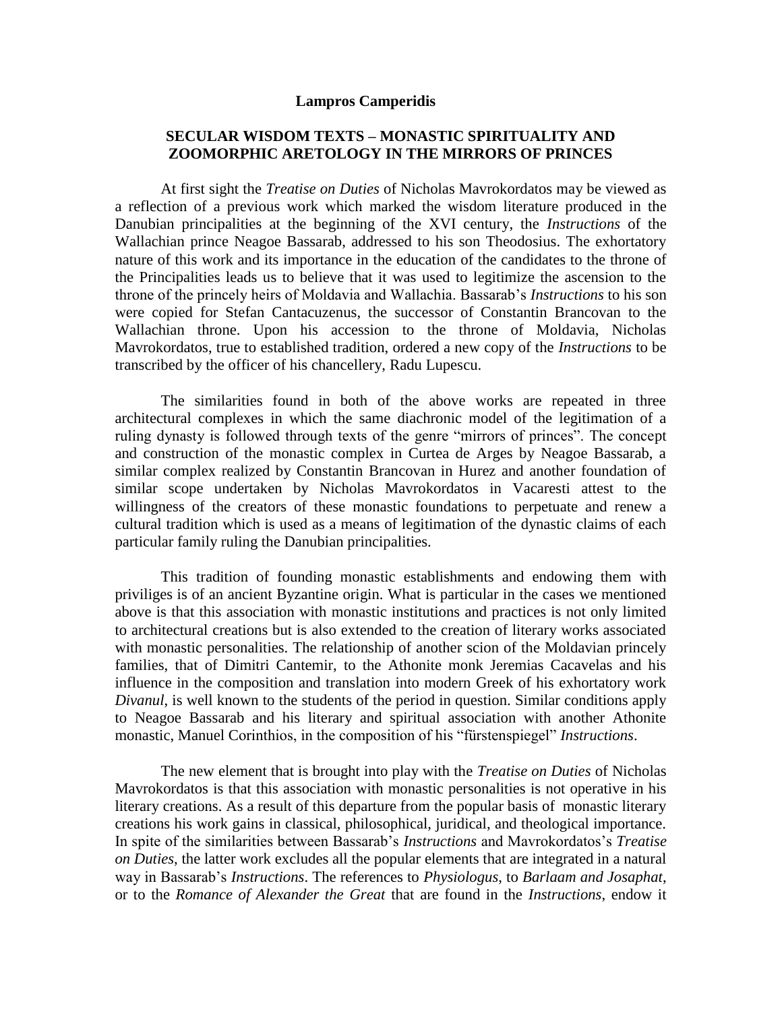## **Lampros Camperidis**

## **SECULAR WISDOM TEXTS – MONASTIC SPIRITUALITY AND ZOOMORPHIC ARETOLOGY IN THE MIRRORS OF PRINCES**

At first sight the *Treatise on Duties* of Nicholas Mavrokordatos may be viewed as a reflection of a previous work which marked the wisdom literature produced in the Danubian principalities at the beginning of the XVI century, the *Instructions* of the Wallachian prince Neagoe Bassarab, addressed to his son Theodosius. The exhortatory nature of this work and its importance in the education of the candidates to the throne of the Principalities leads us to believe that it was used to legitimize the ascension to the throne of the princely heirs of Moldavia and Wallachia. Bassarab's *Instructions* to his son were copied for Stefan Cantacuzenus, the successor of Constantin Brancovan to the Wallachian throne. Upon his accession to the throne of Moldavia, Nicholas Mavrokordatos, true to established tradition, ordered a new copy of the *Instructions* to be transcribed by the officer of his chancellery, Radu Lupescu.

The similarities found in both of the above works are repeated in three architectural complexes in which the same diachronic model of the legitimation of a ruling dynasty is followed through texts of the genre "mirrors of princes". The concept and construction of the monastic complex in Curtea de Arges by Neagoe Bassarab, a similar complex realized by Constantin Brancovan in Hurez and another foundation of similar scope undertaken by Nicholas Mavrokordatos in Vacaresti attest to the willingness of the creators of these monastic foundations to perpetuate and renew a cultural tradition which is used as a means of legitimation of the dynastic claims of each particular family ruling the Danubian principalities.

This tradition of founding monastic establishments and endowing them with priviliges is of an ancient Byzantine origin. What is particular in the cases we mentioned above is that this association with monastic institutions and practices is not only limited to architectural creations but is also extended to the creation of literary works associated with monastic personalities. The relationship of another scion of the Moldavian princely families, that of Dimitri Cantemir, to the Athonite monk Jeremias Cacavelas and his influence in the composition and translation into modern Greek of his exhortatory work *Divanul*, is well known to the students of the period in question. Similar conditions apply to Neagoe Bassarab and his literary and spiritual association with another Athonite monastic, Manuel Corinthios, in the composition of his "fürstenspiegel" *Instructions*.

The new element that is brought into play with the *Treatise on Duties* of Nicholas Mavrokordatos is that this association with monastic personalities is not operative in his literary creations. As a result of this departure from the popular basis of monastic literary creations his work gains in classical, philosophical, juridical, and theological importance. In spite of the similarities between Bassarab's *Instructions* and Mavrokordatos's *Treatise on Duties*, the latter work excludes all the popular elements that are integrated in a natural way in Bassarab's *Instructions*. The references to *Physiologus*, to *Barlaam and Josaphat*, or to the *Romance of Alexander the Great* that are found in the *Instructions*, endow it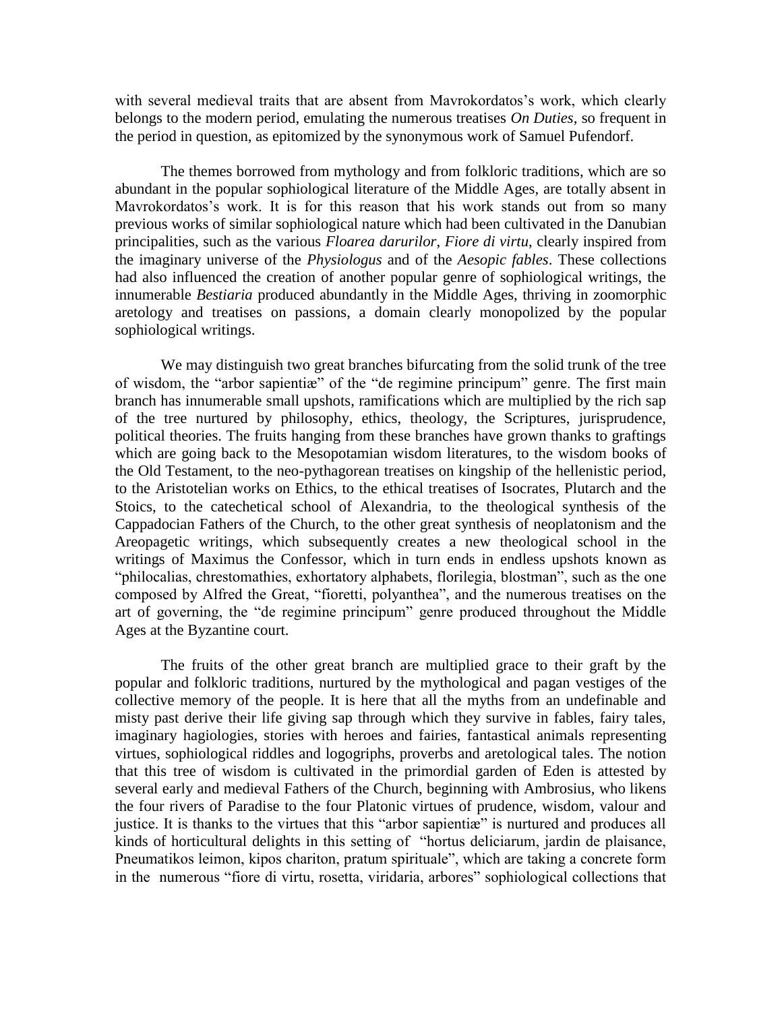with several medieval traits that are absent from Mavrokordatos's work, which clearly belongs to the modern period, emulating the numerous treatises *On Duties*, so frequent in the period in question, as epitomized by the synonymous work of Samuel Pufendorf.

The themes borrowed from mythology and from folkloric traditions, which are so abundant in the popular sophiological literature of the Middle Ages, are totally absent in Mavrokordatos's work. It is for this reason that his work stands out from so many previous works of similar sophiological nature which had been cultivated in the Danubian principalities, such as the various *Floarea darurilor*, *Fiore di virtu*, clearly inspired from the imaginary universe of the *Physiologus* and of the *Aesopic fables*. These collections had also influenced the creation of another popular genre of sophiological writings, the innumerable *Bestiaria* produced abundantly in the Middle Ages, thriving in zoomorphic aretology and treatises on passions, a domain clearly monopolized by the popular sophiological writings.

We may distinguish two great branches bifurcating from the solid trunk of the tree of wisdom, the "arbor sapientiæ" of the "de regimine principum" genre. The first main branch has innumerable small upshots, ramifications which are multiplied by the rich sap of the tree nurtured by philosophy, ethics, theology, the Scriptures, jurisprudence, political theories. The fruits hanging from these branches have grown thanks to graftings which are going back to the Mesopotamian wisdom literatures, to the wisdom books of the Old Testament, to the neo-pythagorean treatises on kingship of the hellenistic period, to the Aristotelian works on Ethics, to the ethical treatises of Isocrates, Plutarch and the Stoics, to the catechetical school of Alexandria, to the theological synthesis of the Cappadocian Fathers of the Church, to the other great synthesis of neoplatonism and the Areopagetic writings, which subsequently creates a new theological school in the writings of Maximus the Confessor, which in turn ends in endless upshots known as "philocalias, chrestomathies, exhortatory alphabets, florilegia, blostman", such as the one composed by Alfred the Great, "fioretti, polyanthea", and the numerous treatises on the art of governing, the "de regimine principum" genre produced throughout the Middle Ages at the Byzantine court.

The fruits of the other great branch are multiplied grace to their graft by the popular and folkloric traditions, nurtured by the mythological and pagan vestiges of the collective memory of the people. It is here that all the myths from an undefinable and misty past derive their life giving sap through which they survive in fables, fairy tales, imaginary hagiologies, stories with heroes and fairies, fantastical animals representing virtues, sophiological riddles and logogriphs, proverbs and aretological tales. The notion that this tree of wisdom is cultivated in the primordial garden of Eden is attested by several early and medieval Fathers of the Church, beginning with Ambrosius, who likens the four rivers of Paradise to the four Platonic virtues of prudence, wisdom, valour and justice. It is thanks to the virtues that this "arbor sapientiæ" is nurtured and produces all kinds of horticultural delights in this setting of "hortus deliciarum, jardin de plaisance, Pneumatikos leimon, kipos chariton, pratum spirituale", which are taking a concrete form in the numerous "fiore di virtu, rosetta, viridaria, arbores" sophiological collections that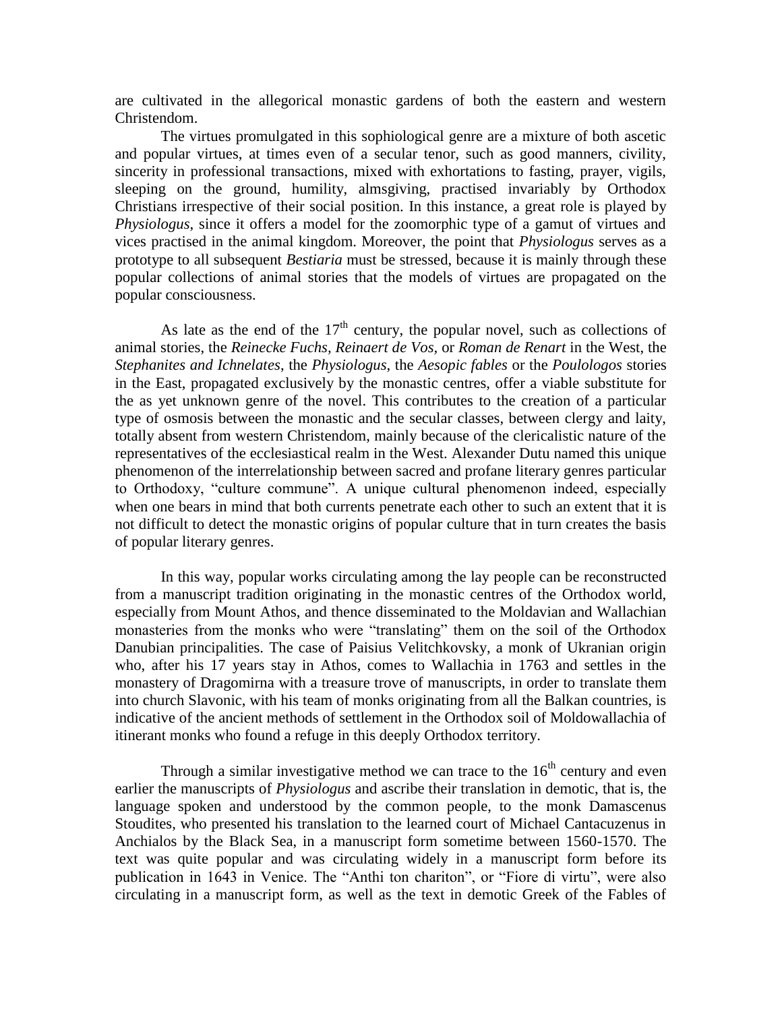are cultivated in the allegorical monastic gardens of both the eastern and western Christendom.

The virtues promulgated in this sophiological genre are a mixture of both ascetic and popular virtues, at times even of a secular tenor, such as good manners, civility, sincerity in professional transactions, mixed with exhortations to fasting, prayer, vigils, sleeping on the ground, humility, almsgiving, practised invariably by Orthodox Christians irrespective of their social position. In this instance, a great role is played by *Physiologus*, since it offers a model for the zoomorphic type of a gamut of virtues and vices practised in the animal kingdom. Moreover, the point that *Physiologus* serves as a prototype to all subsequent *Bestiaria* must be stressed, because it is mainly through these popular collections of animal stories that the models of virtues are propagated on the popular consciousness.

As late as the end of the  $17<sup>th</sup>$  century, the popular novel, such as collections of animal stories, the *Reinecke Fuchs, Reinaert de Vos,* or *Roman de Renart* in the West, the *Stephanites and Ichnelates*, the *Physiologus*, the *Aesopic fables* or the *Poulologos* stories in the East, propagated exclusively by the monastic centres, offer a viable substitute for the as yet unknown genre of the novel. This contributes to the creation of a particular type of osmosis between the monastic and the secular classes, between clergy and laity, totally absent from western Christendom, mainly because of the clericalistic nature of the representatives of the ecclesiastical realm in the West. Alexander Dutu named this unique phenomenon of the interrelationship between sacred and profane literary genres particular to Orthodoxy, "culture commune". A unique cultural phenomenon indeed, especially when one bears in mind that both currents penetrate each other to such an extent that it is not difficult to detect the monastic origins of popular culture that in turn creates the basis of popular literary genres.

In this way, popular works circulating among the lay people can be reconstructed from a manuscript tradition originating in the monastic centres of the Orthodox world, especially from Mount Athos, and thence disseminated to the Moldavian and Wallachian monasteries from the monks who were "translating" them on the soil of the Orthodox Danubian principalities. The case of Paisius Velitchkovsky, a monk of Ukranian origin who, after his 17 years stay in Athos, comes to Wallachia in 1763 and settles in the monastery of Dragomirna with a treasure trove of manuscripts, in order to translate them into church Slavonic, with his team of monks originating from all the Balkan countries, is indicative of the ancient methods of settlement in the Orthodox soil of Moldowallachia of itinerant monks who found a refuge in this deeply Orthodox territory.

Through a similar investigative method we can trace to the  $16<sup>th</sup>$  century and even earlier the manuscripts of *Physiologus* and ascribe their translation in demotic, that is, the language spoken and understood by the common people, to the monk Damascenus Stoudites, who presented his translation to the learned court of Michael Cantacuzenus in Anchialos by the Black Sea, in a manuscript form sometime between 1560-1570. The text was quite popular and was circulating widely in a manuscript form before its publication in 1643 in Venice. The "Anthi ton chariton", or "Fiore di virtu", were also circulating in a manuscript form, as well as the text in demotic Greek of the Fables of